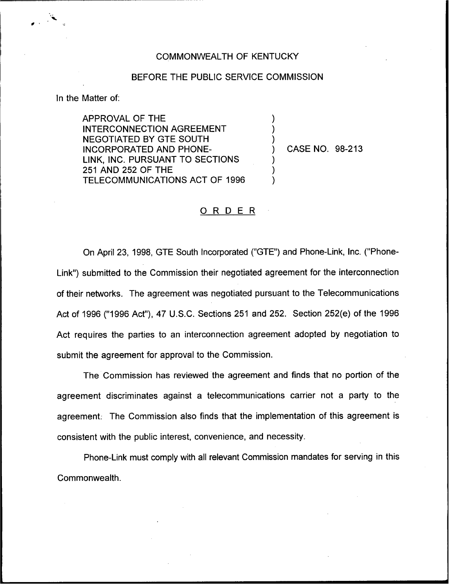## COMMONWEALTH OF KENTUCKY

## BEFORE THE PUBLIC SERVICE COMMISSION

) ) )

) ) )

In the Matter of:

APPROVAL OF THE INTERCONNECTION AGREEMENT NEGOTIATED BY GTE SOUTH INCORPORATED AND PHONE-LINK, INC. PURSUANT TO SECTIONS 251 AND 252 OF THE TELECOMMUNICATIONS ACT OF 1996

) CASE NO. 98-213

## ORDER

On April 23, 1998, GTE South Incorporated ("GTE") and Phone-Link, Inc. ("Phone-Link") submitted to the Commission their negotiated agreement for the interconnectio of their networks. The agreement was negotiated pursuant to the Telecommunications Act of 1996 ("1996 Act"), 47 U.S.C. Sections 251 and 252. Section 252(e) of the 1996 Act requires the parties to an interconnection agreement adopted by negotiation to submit the agreement for approval to the Commission.

The Commission has reviewed the agreement and finds that no portion of the agreement discriminates against a telecommunications carrier not a party to the agreement: The Commission also finds that the implementation of this agreement is consistent with the public interest, convenience, and necessity.

Phone-Link must comply with all relevant Commission mandates for serving in this Commonwealth.